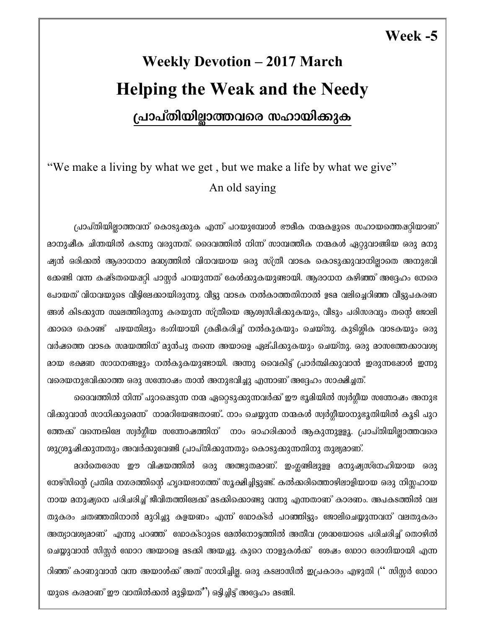### Week -5

# **Weekly Devotion - 2017 March Helping the Weak and the Needy** പ്രാപ്തിയില്ലാത്തവരെ സഹായിക്കുക

## "We make a living by what we get, but we make a life by what we give" An old saying

പ്രാപ്തിയില്ലാത്തവന് കൊടുക്കുക എന്ന് പറയുമ്പോൾ ഭൗമീക നന്മകളുടെ സഹായത്തെഷറ്റിയാണ് മാനുഷീക ചിന്തയിൽ കടന്നു വരുന്നത്. ദൈവത്തിൽ നിന്ന് സാമ്പത്തീക നന്മകൾ ഏറ്റുവാങ്ങിയ ഒരു മനു ഷ്യൻ ഒരിക്കൽ ആരാധനാ മദ്ധ്യത്തിൽ വിധവയായ ഒരു സ്ത്രീ വാടക കൊടുക്കുവാനില്ലാതെ അനുഭവി ക്കേണ്ടി വന്ന കഷ്ടതയെഷറ്റി പാസ്റ്റർ പറയുന്നത് കേൾക്കുകയുണ്ടായി. ആരാധന കഴിഞ്ഞ് അദ്ദേഹം നേരെ പോയത് വിധവയുടെ വീട്ടിലേക്കായിരുന്നു. വീട്ടു വാടക നൽകാത്തതിനാൽ ഉടമ വലിച്ചെറിഞ്ഞ വീട്ടുപകരണ ങ്ങൾ കിടക്കുന്ന സ്ഥലത്തിരുന്നു കരയുന്ന സ്ത്രീയെ ആശ്വസിഷിക്കുകയും, വീടും പരിസരവും തന്റെ ജോലി ക്കാരെ കൊണ്ട് പഴയതിലും ഭംഗിയായി ക്രമീകരിച്ച് നൽകുകയും ചെയ്തു. കുടിശ്ശിക വാടകയും ഒരു വർഷത്തെ വാടക സമയത്തിന് മുൻപു തന്നെ അയാളെ ഏല്പിക്കുകയും ചെയ്തു. ഒരു മാസത്തേക്കാവശ്യ മായ ഭക്ഷണ സാധനങ്ങളും നൽകുകയുണ്ടായി. അന്നു വൈകിട്ട് പ്രാർത്ഥിക്കുവാൻ ഇരുന്നഷോൾ ഇന്നു വരെയനുഭവിക്കാത്ത ഒരു സന്തോഷം താൻ അനുഭവിച്ചു എന്നാണ് അദ്ദേഹം സാക്ഷിച്ചത്.

ദൈവത്തിൽ നിന്ന് പുറഷെടുന്ന നന്മ ഏറ്റെടുക്കുന്നവർക്ക് ഈ ഭൂമിയിൽ സ്വർഗ്ഗീയ സന്തോഷം അനുഭ വിക്കുവാൻ സാധിക്കുമെന്ന് നാമറിയേണ്ടതാണ്.. നാം ചെയ്യുന്ന നന്മകൾ സ്വർഗ്ഗീയാനുഭൂതിയിൽ കൂടി പുറ ത്തേക്ക് വന്നെങ്കിലേ സ്വർഗ്ഗീയ സന്തോഷത്തിന് നാം ഓഹരിക്കാർ ആകുന്നുള്ളൂ. പ്രാപ്തിയില്ലാത്തവരെ ശുശ്രൂഷിക്കുന്നതും അവർക്കുവേണ്ടി പ്രാപ്തിക്കുന്നതും കൊടുക്കുന്നതിനു തുല്യമാണ്.

മദർതെരേസ ഈ വിഷയത്തിൽ ഒരു അത്ഭുതമാണ്. ഇംഗ്ലണ്ടിലുള്ള മനുഷ്യസ്നേഹിയായ ഒരു നേഴ്സിന്റെ പ്രതിമ നഗരത്തിന്റെ ഹൃദയഭാഗത്ത് സുക്ഷിച്ചിട്ടുണ്ട്. കൽക്കരിത്തൊഴിലാളിയായ ഒരു നിസ്സഹായ നായ മനുഷ്യനെ പരിചരിച്ച് ജീവിതത്തിലേക്ക് മടക്കിക്കൊണ്ടു വന്നു എന്നതാണ് കാരണം. അപകടത്തിൽ വല തുകരം ചതഞ്ഞതിനാൽ മുറിച്ചു കളയണം എന്ന് ഡോക്ടർ പറഞ്ഞിട്ടും ജോലിചെയ്യുന്നവന് വലതുകരം അത്യാവശ്യമാണ് എന്നു പറഞ്ഞ് ഡോക്ടറുടെ മേൽനോട്ടത്തിൽ അതീവ ശ്രദ്ധയോടെ പരിചരിച്ച് തൊഴിൽ ചെയ്യുവാൻ സിസ്റ്റർ ഡോറ അയാളെ മടക്കി അയച്ചു. കുറെ നാളുകൾക്ക് ശേഷം ഡോറ രോഗിയായി എന്ന റിഞ്ഞ് കാണുവാൻ വന്ന അയാൾക്ക് അത് സാധിച്ചില്ല. ഒരു കടലാസിൽ ഇപ്രകാരം എഴുതി ('' സിസ്റ്റർ ഡോറ യുടെ കരമാണ് ഈ വാതിൽക്കൽ മുട്ടിയത്") ഒട്ടിച്ചിട്ട് അദ്ദേഹം മടങ്ങി.